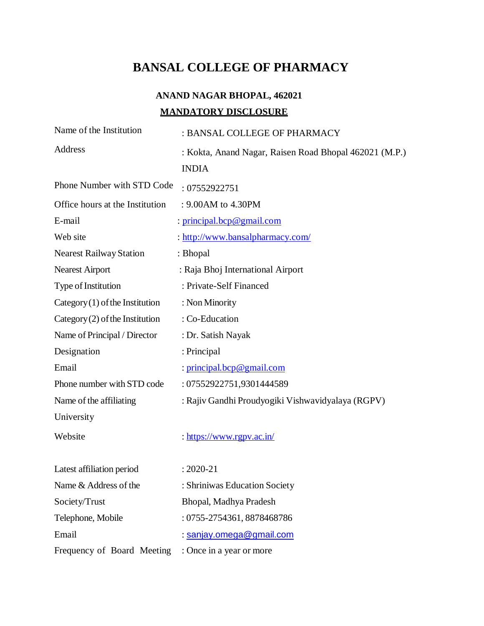# **BANSAL COLLEGE OF PHARMACY**

# **ANAND NAGAR BHOPAL, 462021 MANDATORY DISCLOSURE**

| Name of the Institution           | : BANSAL COLLEGE OF PHARMACY                           |
|-----------------------------------|--------------------------------------------------------|
| Address                           | : Kokta, Anand Nagar, Raisen Road Bhopal 462021 (M.P.) |
|                                   | <b>INDIA</b>                                           |
| Phone Number with STD Code        | : 07552922751                                          |
| Office hours at the Institution   | : 9.00AM to 4.30PM                                     |
| E-mail                            | : principal.bcp@gmail.com                              |
| Web site                          | : http://www.bansalpharmacy.com/                       |
| <b>Nearest Railway Station</b>    | : Bhopal                                               |
| <b>Nearest Airport</b>            | : Raja Bhoj International Airport                      |
| Type of Institution               | : Private-Self Financed                                |
| $Category(1)$ of the Institution  | : Non Minority                                         |
| Category $(2)$ of the Institution | : Co-Education                                         |
| Name of Principal / Director      | : Dr. Satish Nayak                                     |
| Designation                       | : Principal                                            |
| Email                             | : principal.bcp@gmail.com                              |
| Phone number with STD code        | : 07552922751,9301444589                               |
| Name of the affiliating           | : Rajiv Gandhi Proudyogiki Vishwavidyalaya (RGPV)      |
| University                        |                                                        |
| Website                           | : https://www.rgpv.ac.in/                              |
| Latest affiliation period         | $: 2020 - 21$                                          |
| Name & Address of the             | : Shriniwas Education Society                          |
| Society/Trust                     | Bhopal, Madhya Pradesh                                 |
| Telephone, Mobile                 | : 0755-2754361, 8878468786                             |
| Email                             | : sanjay.omega@gmail.com                               |
| Frequency of Board Meeting        |                                                        |
|                                   | : Once in a year or more                               |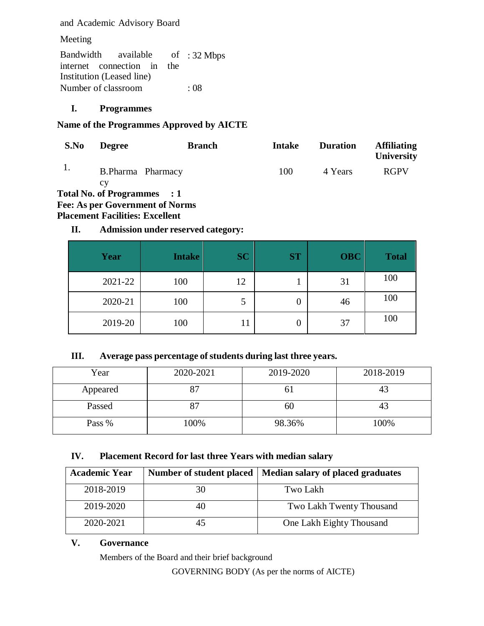and Academic Advisory Board

Meeting

Bandwidth available internet connection in the Institution (Leased line) of :  $32 \text{ Mbps}$ Number of classroom : 08

## **I. Programmes**

## **Name of the Programmes Approved by AICTE**

| S.No | <b>Degree</b>               | <b>Branch</b>                                                | <b>Intake</b> | <b>Duration</b> | <b>Affiliating</b><br>University |
|------|-----------------------------|--------------------------------------------------------------|---------------|-----------------|----------------------------------|
|      | B.Pharma Pharmacy           |                                                              | 100           | 4 Years         | <b>RGPV</b>                      |
|      | Total No. of Programmes : 1 |                                                              |               |                 |                                  |
|      |                             | $\Gamma_{\alpha\alpha}$ , $\Lambda$ g non Covemment of Norma |               |                 |                                  |

## **Fee: As per Government of Norms**

**Placement Facilities: Excellent**

## **II. Admission under reserved category:**

| Year    | <b>Intake</b> | <b>SC</b> | <b>ST</b> | <b>OBC</b> | <b>Total</b> |
|---------|---------------|-----------|-----------|------------|--------------|
| 2021-22 | 100           | 12        |           | 31         | 100          |
| 2020-21 | 100           | C         |           | 46         | 100          |
| 2019-20 | 100           | 11        | U         | 37         | 100          |

## **III. Average pass percentage of students during last three years.**

| Year     | 2020-2021 | 2019-2020 | 2018-2019 |
|----------|-----------|-----------|-----------|
| Appeared | ריס       |           |           |
| Passed   | 87        | 60        |           |
| Pass %   | 100%      | 98.36%    | 100%      |

## **IV. Placement Record for last three Years with median salary**

| <b>Academic Year</b> |    | Number of student placed   Median salary of placed graduates |
|----------------------|----|--------------------------------------------------------------|
| 2018-2019            | 30 | Two Lakh                                                     |
| 2019-2020            | 40 | Two Lakh Twenty Thousand                                     |
| 2020-2021            | 45 | One Lakh Eighty Thousand                                     |

## **V. Governance**

Members of the Board and their brief background

GOVERNING BODY (As per the norms of AICTE)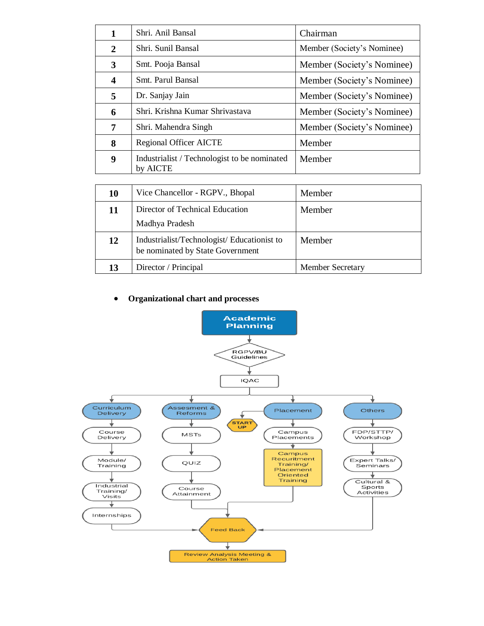| 1                       | Shri. Anil Bansal                                        | Chairman                   |
|-------------------------|----------------------------------------------------------|----------------------------|
| $\overline{2}$          | Shri. Sunil Bansal                                       | Member (Society's Nominee) |
| 3                       | Smt. Pooja Bansal                                        | Member (Society's Nominee) |
| $\overline{\mathbf{4}}$ | Smt. Parul Bansal                                        | Member (Society's Nominee) |
| 5                       | Dr. Sanjay Jain                                          | Member (Society's Nominee) |
| 6                       | Shri. Krishna Kumar Shrivastava                          | Member (Society's Nominee) |
| 7                       | Shri. Mahendra Singh                                     | Member (Society's Nominee) |
| 8                       | <b>Regional Officer AICTE</b>                            | Member                     |
| 9                       | Industrialist / Technologist to be nominated<br>by AICTE | Member                     |

| 10 | Vice Chancellor - RGPV., Bhopal                                                 | Member                  |
|----|---------------------------------------------------------------------------------|-------------------------|
| 11 | Director of Technical Education<br>Madhya Pradesh                               | Member                  |
| 12 | Industrialist/Technologist/ Educationist to<br>be nominated by State Government | Member                  |
| 13 | Director / Principal                                                            | <b>Member Secretary</b> |

#### **Organizational chart and processes**

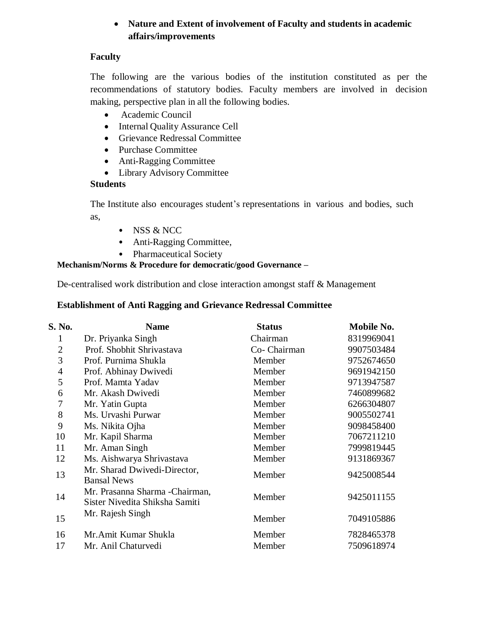## **Nature and Extent of involvement of Faculty and students in academic affairs/improvements**

## **Faculty**

The following are the various bodies of the institution constituted as per the recommendations of statutory bodies. Faculty members are involved in decision making, perspective plan in all the following bodies.

- Academic Council
- Internal Quality Assurance Cell
- Grievance Redressal Committee
- Purchase Committee
- Anti-Ragging Committee
- Library Advisory Committee

## **Students**

The Institute also encourages student's representations in various and bodies, such as,

- NSS & NCC
- Anti-Ragging Committee,
- Pharmaceutical Society

## **Mechanism/Norms & Procedure for democratic/good Governance –**

De-centralised work distribution and close interaction amongst staff & Management

#### **Establishment of Anti Ragging and Grievance Redressal Committee**

| S. No.         | <b>Name</b>                                                       | <b>Status</b> | Mobile No. |
|----------------|-------------------------------------------------------------------|---------------|------------|
| 1              | Dr. Priyanka Singh                                                | Chairman      | 8319969041 |
| $\overline{2}$ | Prof. Shobhit Shrivastava                                         | Co-Chairman   | 9907503484 |
| 3              | Prof. Purnima Shukla                                              | Member        | 9752674650 |
| $\overline{4}$ | Prof. Abhinay Dwivedi                                             | Member        | 9691942150 |
| 5              | Prof. Mamta Yadav                                                 | Member        | 9713947587 |
| 6              | Mr. Akash Dwivedi                                                 | Member        | 7460899682 |
| 7              | Mr. Yatin Gupta                                                   | Member        | 6266304807 |
| 8              | Ms. Urvashi Purwar                                                | Member        | 9005502741 |
| 9              | Ms. Nikita Ojha                                                   | Member        | 9098458400 |
| 10             | Mr. Kapil Sharma                                                  | Member        | 7067211210 |
| 11             | Mr. Aman Singh                                                    | Member        | 7999819445 |
| 12             | Ms. Aishwarya Shrivastava                                         | Member        | 9131869367 |
| 13             | Mr. Sharad Dwivedi-Director,<br><b>Bansal News</b>                | Member        | 9425008544 |
| 14             | Mr. Prasanna Sharma - Chairman,<br>Sister Nivedita Shiksha Samiti | Member        | 9425011155 |
| 15             | Mr. Rajesh Singh                                                  | Member        | 7049105886 |
| 16             | Mr. Amit Kumar Shukla                                             | Member        | 7828465378 |
| 17             | Mr. Anil Chaturvedi                                               | Member        | 7509618974 |
|                |                                                                   |               |            |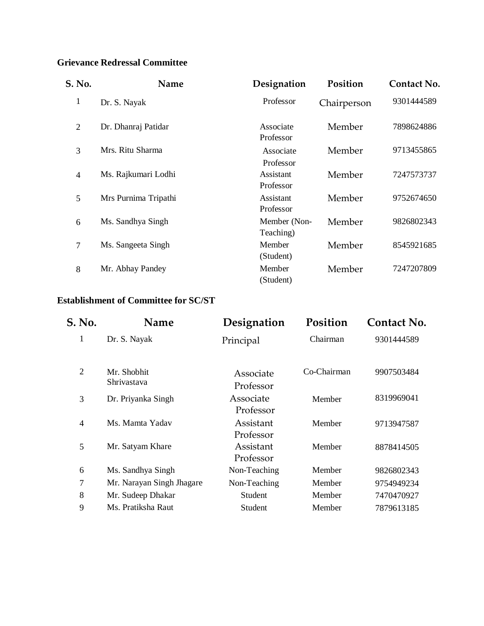## **Grievance Redressal Committee**

| S. No.         | Name                 | Designation               | Position    | <b>Contact No.</b> |
|----------------|----------------------|---------------------------|-------------|--------------------|
| $\mathbf{1}$   | Dr. S. Nayak         | Professor                 | Chairperson | 9301444589         |
| $\overline{2}$ | Dr. Dhanraj Patidar  | Associate<br>Professor    | Member      | 7898624886         |
| 3              | Mrs. Ritu Sharma     | Associate<br>Professor    | Member      | 9713455865         |
| $\overline{4}$ | Ms. Rajkumari Lodhi  | Assistant<br>Professor    | Member      | 7247573737         |
| 5              | Mrs Purnima Tripathi | Assistant<br>Professor    | Member      | 9752674650         |
| 6              | Ms. Sandhya Singh    | Member (Non-<br>Teaching) | Member      | 9826802343         |
| $\overline{7}$ | Ms. Sangeeta Singh   | Member<br>(Student)       | Member      | 8545921685         |
| 8              | Mr. Abhay Pandey     | Member<br>(Student)       | Member      | 7247207809         |

## **Establishment of Committee for SC/ST**

| S. No.         | Name                       | Designation            | Position    | <b>Contact No.</b> |
|----------------|----------------------------|------------------------|-------------|--------------------|
| 1              | Dr. S. Nayak               | Principal              | Chairman    | 9301444589         |
| 2              | Mr. Shobhit<br>Shrivastava | Associate<br>Professor | Co-Chairman | 9907503484         |
| 3              | Dr. Priyanka Singh         | Associate<br>Professor | Member      | 8319969041         |
| $\overline{4}$ | Ms. Mamta Yadav            | Assistant<br>Professor | Member      | 9713947587         |
| 5              | Mr. Satyam Khare           | Assistant<br>Professor | Member      | 8878414505         |
| 6              | Ms. Sandhya Singh          | Non-Teaching           | Member      | 9826802343         |
| $\overline{7}$ | Mr. Narayan Singh Jhagare  | Non-Teaching           | Member      | 9754949234         |
| 8              | Mr. Sudeep Dhakar          | Student                | Member      | 7470470927         |
| 9              | Ms. Pratiksha Raut         | Student                | Member      | 7879613185         |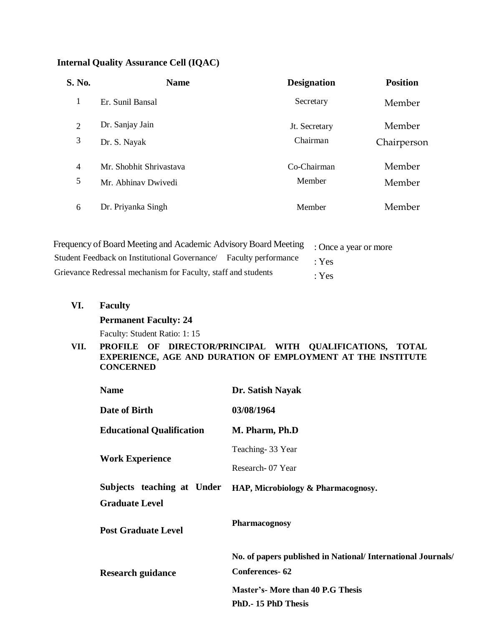## **Internal Quality Assurance Cell (IQAC)**

| S. No.         | <b>Name</b>             | <b>Designation</b> | <b>Position</b> |
|----------------|-------------------------|--------------------|-----------------|
| 1              | Er. Sunil Bansal        | Secretary          | Member          |
| $\overline{2}$ | Dr. Sanjay Jain         | Jt. Secretary      | Member          |
| 3              | Dr. S. Nayak            | Chairman           | Chairperson     |
| $\overline{4}$ | Mr. Shobhit Shrivastava | Co-Chairman        | Member          |
| 5              | Mr. Abhinav Dwivedi     | Member             | Member          |
| 6              | Dr. Priyanka Singh      | Member             | Member          |

| Frequency of Board Meeting and Academic Advisory Board Meeting : Once a year or more |             |
|--------------------------------------------------------------------------------------|-------------|
| Student Feedback on Institutional Governance/ Faculty performance                    | $\cdot$ Yes |
| Grievance Redressal mechanism for Faculty, staff and students                        | : Yes       |

**VI. Faculty**

**Permanent Faculty: 24**

Faculty: Student Ratio: 1: 15

#### **VII. PROFILE OF DIRECTOR/PRINCIPAL WITH QUALIFICATIONS, TOTAL EXPERIENCE, AGE AND DURATION OF EMPLOYMENT AT THE INSTITUTE CONCERNED**

| <b>Name</b>                      | Dr. Satish Nayak                                             |
|----------------------------------|--------------------------------------------------------------|
| Date of Birth                    | 03/08/1964                                                   |
| <b>Educational Qualification</b> | M. Pharm, Ph.D                                               |
|                                  | Teaching-33 Year                                             |
| <b>Work Experience</b>           | Research - 07 Year                                           |
| Subjects teaching at Under       | HAP, Microbiology & Pharmacognosy.                           |
| <b>Graduate Level</b>            |                                                              |
| <b>Post Graduate Level</b>       | <b>Pharmacognosy</b>                                         |
|                                  | No. of papers published in National/ International Journals/ |
| <b>Research guidance</b>         | <b>Conferences-62</b>                                        |
|                                  | <b>Master's- More than 40 P.G Thesis</b>                     |
|                                  | PhD. - 15 PhD Thesis                                         |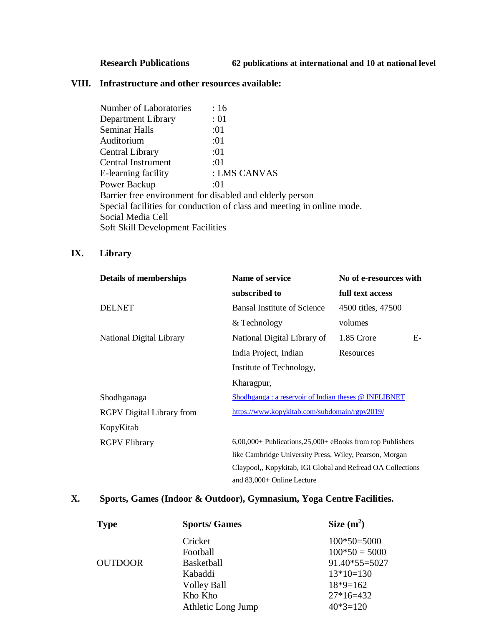## **Research Publications 62 publications at international and 10 at national level**

#### **VIII. Infrastructure and other resources available:**

| <b>Number of Laboratories</b>            | :16                                                                    |
|------------------------------------------|------------------------------------------------------------------------|
| Department Library                       | :01                                                                    |
| Seminar Halls                            | :01                                                                    |
| Auditorium                               | :01                                                                    |
| Central Library                          | :01                                                                    |
| <b>Central Instrument</b>                | :01                                                                    |
| E-learning facility                      | : LMS CANVAS                                                           |
| Power Backup                             | :01                                                                    |
|                                          | Barrier free environment for disabled and elderly person               |
|                                          | Special facilities for conduction of class and meeting in online mode. |
| Social Media Cell                        |                                                                        |
| <b>Soft Skill Development Facilities</b> |                                                                        |

## **IX. Library**

| <b>Details of memberships</b>    | Name of service                                                | No of e-resources with |
|----------------------------------|----------------------------------------------------------------|------------------------|
|                                  | subscribed to                                                  | full text access       |
| <b>DELNET</b>                    | <b>Bansal Institute of Science</b>                             | 4500 titles, 47500     |
|                                  | & Technology                                                   | volumes                |
| National Digital Library         | National Digital Library of                                    | 1.85 Crore<br>$E-$     |
|                                  | India Project, Indian                                          | Resources              |
|                                  | Institute of Technology,                                       |                        |
|                                  | Kharagpur,                                                     |                        |
| Shodhganaga                      | Shodhganga: a reservoir of Indian theses @ INFLIBNET           |                        |
| <b>RGPV</b> Digital Library from | https://www.kopykitab.com/subdomain/rgpv2019/                  |                        |
| KopyKitab                        |                                                                |                        |
| <b>RGPV Elibrary</b>             | $6,00,000+$ Publications, $25,000+$ eBooks from top Publishers |                        |
|                                  | like Cambridge University Press, Wiley, Pearson, Morgan        |                        |
|                                  | Claypool,, Kopykitab, IGI Global and Refread OA Collections    |                        |
|                                  | and 83,000+ Online Lecture                                     |                        |

## **X. Sports, Games (Indoor & Outdoor), Gymnasium, Yoga Centre Facilities.**

| <b>Type</b>    | <b>Sports/Games</b> | Size $(m^2)$    |
|----------------|---------------------|-----------------|
|                | Cricket             | $100*50=5000$   |
|                | Football            | $100*50 = 5000$ |
| <b>OUTDOOR</b> | Basketball          | $91.40*55=5027$ |
|                | Kabaddi             | $13*10=130$     |
|                | <b>Volley Ball</b>  | $18*9=162$      |
|                | Kho Kho             | $27*16=432$     |
|                | Athletic Long Jump  | $40*3=120$      |